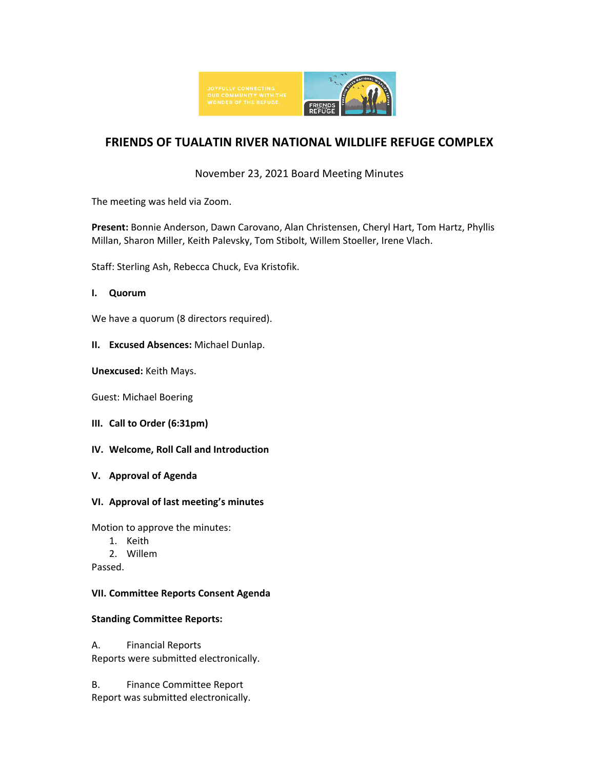

# **FRIENDS OF TUALATIN RIVER NATIONAL WILDLIFE REFUGE COMPLEX**

### November 23, 2021 Board Meeting Minutes

The meeting was held via Zoom.

**Present:** Bonnie Anderson, Dawn Carovano, Alan Christensen, Cheryl Hart, Tom Hartz, Phyllis Millan, Sharon Miller, Keith Palevsky, Tom Stibolt, Willem Stoeller, Irene Vlach.

Staff: Sterling Ash, Rebecca Chuck, Eva Kristofik.

#### **I. Quorum**

We have a quorum (8 directors required).

**II. Excused Absences:** Michael Dunlap.

**Unexcused:** Keith Mays.

Guest: Michael Boering

- **III. Call to Order (6:31pm)**
- **IV. Welcome, Roll Call and Introduction**
- **V. Approval of Agenda**
- **VI. Approval of last meeting's minutes**

Motion to approve the minutes:

- 1. Keith
- 2. Willem

Passed.

#### **VII. Committee Reports Consent Agenda**

#### **Standing Committee Reports:**

A. Financial Reports Reports were submitted electronically.

B. Finance Committee Report Report was submitted electronically.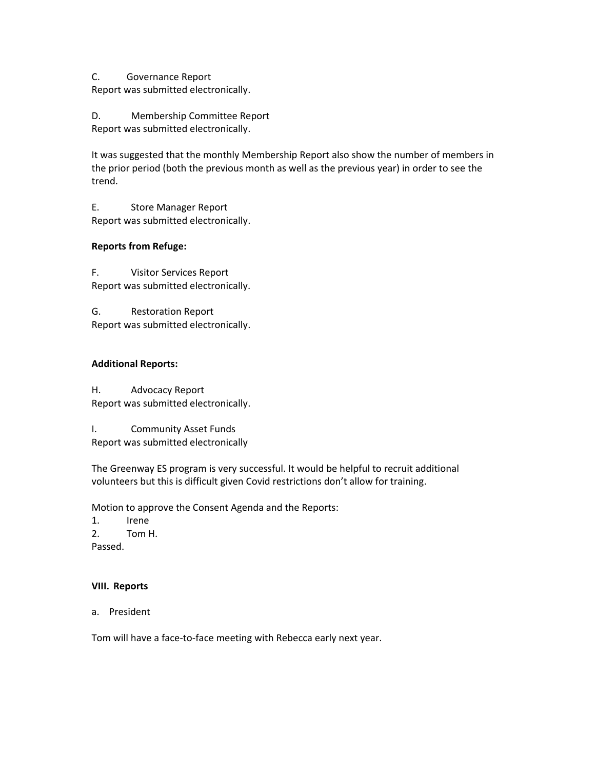C. Governance Report Report was submitted electronically.

D. Membership Committee Report Report was submitted electronically.

It was suggested that the monthly Membership Report also show the number of members in the prior period (both the previous month as well as the previous year) in order to see the trend.

E. Store Manager Report Report was submitted electronically.

### **Reports from Refuge:**

F. Visitor Services Report Report was submitted electronically.

G. Restoration Report Report was submitted electronically.

#### **Additional Reports:**

H. Advocacy Report Report was submitted electronically.

I. Community Asset Funds Report was submitted electronically

The Greenway ES program is very successful. It would be helpful to recruit additional volunteers but this is difficult given Covid restrictions don't allow for training.

Motion to approve the Consent Agenda and the Reports:

1. Irene 2. Tom H.

Passed.

#### **VIII. Reports**

a. President

Tom will have a face-to-face meeting with Rebecca early next year.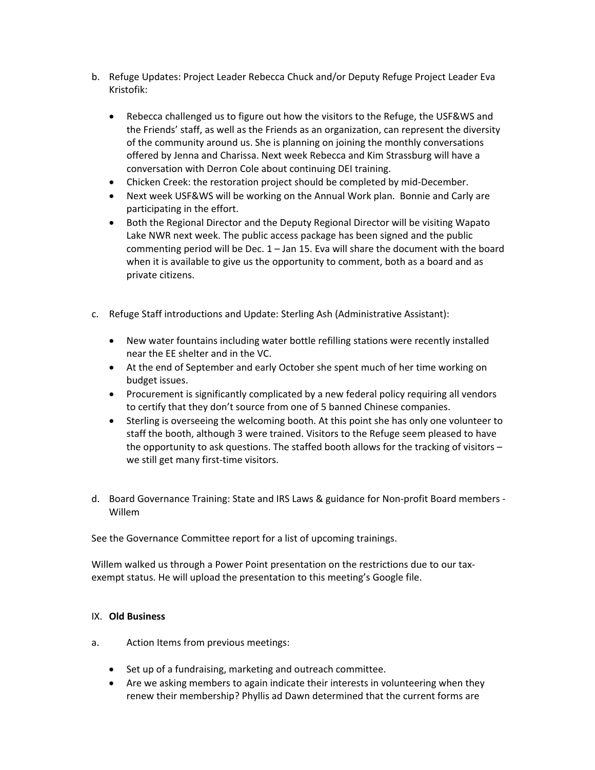- b. Refuge Updates: Project Leader Rebecca Chuck and/or Deputy Refuge Project Leader Eva Kristofik:
	- Rebecca challenged us to figure out how the visitors to the Refuge, the USF&WS and the Friends' staff, as well as the Friends as an organization, can represent the diversity of the community around us. She is planning on joining the monthly conversations offered by Jenna and Charissa. Next week Rebecca and Kim Strassburg will have a conversation with Derron Cole about continuing DEI training.
	- Chicken Creek: the restoration project should be completed by mid-December.
	- Next week USF&WS will be working on the Annual Work plan. Bonnie and Carly are participating in the effort.
	- Both the Regional Director and the Deputy Regional Director will be visiting Wapato Lake NWR next week. The public access package has been signed and the public commenting period will be Dec. 1 – Jan 15. Eva will share the document with the board when it is available to give us the opportunity to comment, both as a board and as private citizens.
- c. Refuge Staff introductions and Update: Sterling Ash (Administrative Assistant):
	- New water fountains including water bottle refilling stations were recently installed near the EE shelter and in the VC.
	- At the end of September and early October she spent much of her time working on budget issues.
	- Procurement is significantly complicated by a new federal policy requiring all vendors to certify that they don't source from one of 5 banned Chinese companies.
	- Sterling is overseeing the welcoming booth. At this point she has only one volunteer to staff the booth, although 3 were trained. Visitors to the Refuge seem pleased to have the opportunity to ask questions. The staffed booth allows for the tracking of visitors – we still get many first-time visitors.
- d. Board Governance Training: State and IRS Laws & guidance for Non-profit Board members Willem

See the Governance Committee report for a list of upcoming trainings.

Willem walked us through a Power Point presentation on the restrictions due to our taxexempt status. He will upload the presentation to this meeting's Google file.

#### IX. **Old Business**

- a. Action Items from previous meetings:
	- Set up of a fundraising, marketing and outreach committee.
	- Are we asking members to again indicate their interests in volunteering when they renew their membership? Phyllis ad Dawn determined that the current forms are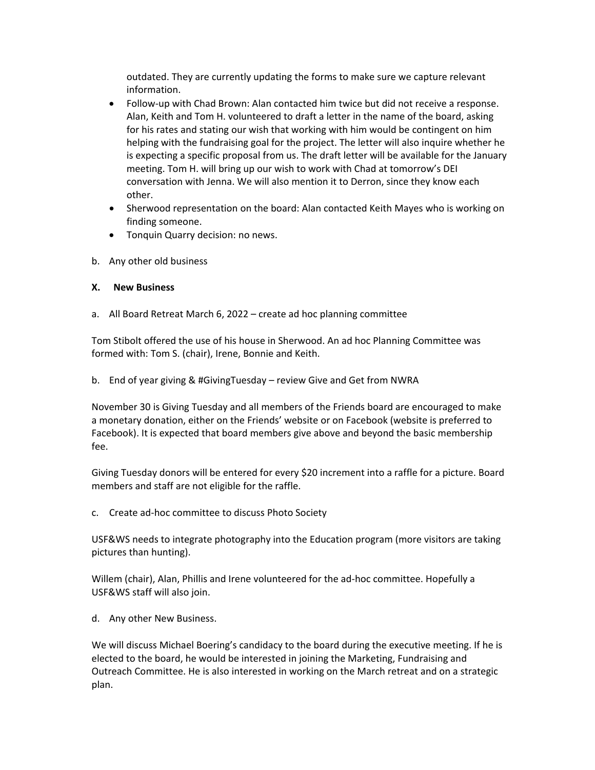outdated. They are currently updating the forms to make sure we capture relevant information.

- Follow-up with Chad Brown: Alan contacted him twice but did not receive a response. Alan, Keith and Tom H. volunteered to draft a letter in the name of the board, asking for his rates and stating our wish that working with him would be contingent on him helping with the fundraising goal for the project. The letter will also inquire whether he is expecting a specific proposal from us. The draft letter will be available for the January meeting. Tom H. will bring up our wish to work with Chad at tomorrow's DEI conversation with Jenna. We will also mention it to Derron, since they know each other.
- Sherwood representation on the board: Alan contacted Keith Mayes who is working on finding someone.
- Tonquin Quarry decision: no news.
- b. Any other old business

#### **X. New Business**

a. All Board Retreat March 6, 2022 – create ad hoc planning committee

Tom Stibolt offered the use of his house in Sherwood. An ad hoc Planning Committee was formed with: Tom S. (chair), Irene, Bonnie and Keith.

b. End of year giving & #GivingTuesday – review Give and Get from NWRA

November 30 is Giving Tuesday and all members of the Friends board are encouraged to make a monetary donation, either on the Friends' website or on Facebook (website is preferred to Facebook). It is expected that board members give above and beyond the basic membership fee.

Giving Tuesday donors will be entered for every \$20 increment into a raffle for a picture. Board members and staff are not eligible for the raffle.

c. Create ad-hoc committee to discuss Photo Society

USF&WS needs to integrate photography into the Education program (more visitors are taking pictures than hunting).

Willem (chair), Alan, Phillis and Irene volunteered for the ad-hoc committee. Hopefully a USF&WS staff will also join.

d. Any other New Business.

We will discuss Michael Boering's candidacy to the board during the executive meeting. If he is elected to the board, he would be interested in joining the Marketing, Fundraising and Outreach Committee. He is also interested in working on the March retreat and on a strategic plan.